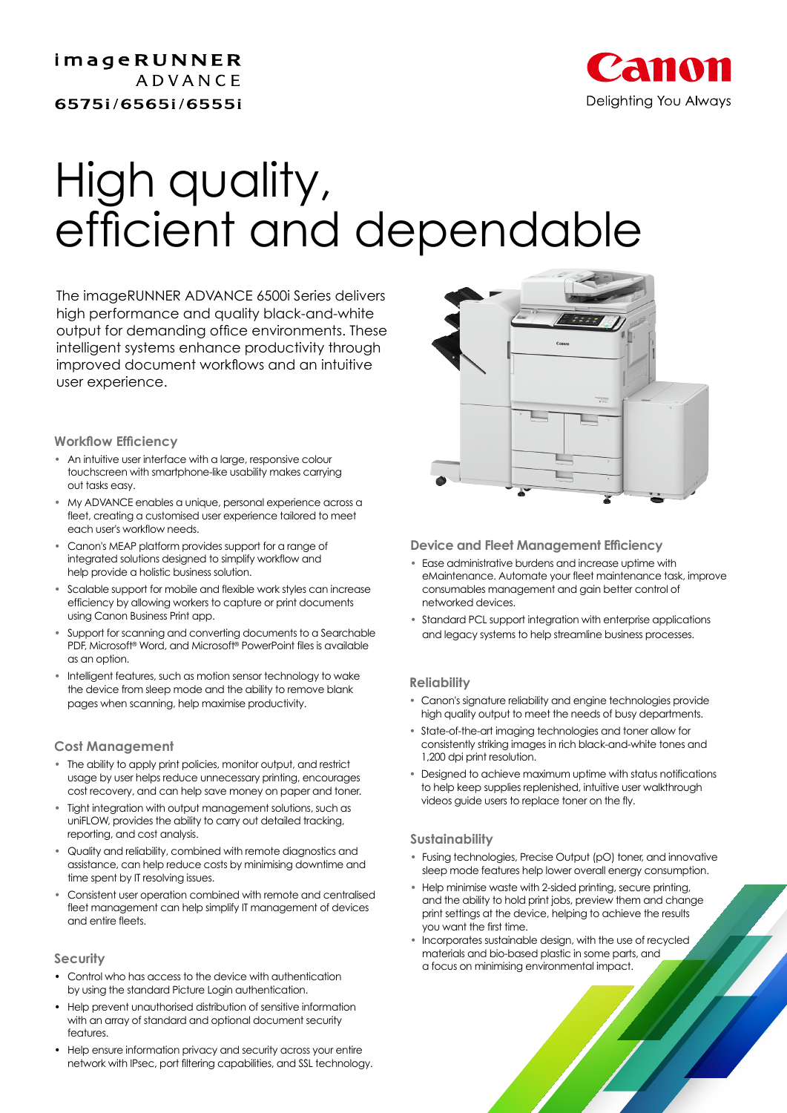imageRUNNER **ADVANCE** 6575i/6565i/6555i



## JN QUAIIIY,<br>iniciat quant al efficient and dependable High quality, efficient and dependable

The imageRUNNER ADVANCE 6500i Series delivers high performance and quality black-and-white output for demanding office environments. These intelligent systems enhance productivity through improved document workflows and an intuitive user experience.

**Workflow Efficiency**

- **•** An intuitive user interface with a large, responsive colour touchscreen with smartphone-like usability makes carrying out tasks easy.
- **•** My ADVANCE enables a unique, personal experience across a fleet, creating a customised user experience tailored to meet each user's workflow needs.
- **•** Canon's MEAP platform provides support for a range of integrated solutions designed to simplify workflow and help provide a holistic business solution.
- **•** Scalable support for mobile and flexible work styles can increase efficiency by allowing workers to capture or print documents using Canon Business Print app.
- **•** Support for scanning and converting documents to a Searchable PDF, Microsoft® Word, and Microsoft® PowerPoint files is available as an option.
- **•** Intelligent features, such as motion sensor technology to wake the device from sleep mode and the ability to remove blank pages when scanning, help maximise productivity.

### **Cost Management**

- **•** The ability to apply print policies, monitor output, and restrict usage by user helps reduce unnecessary printing, encourages cost recovery, and can help save money on paper and toner.
- **•** Tight integration with output management solutions, such as uniFLOW, provides the ability to carry out detailed tracking, reporting, and cost analysis.
- **•** Quality and reliability, combined with remote diagnostics and assistance, can help reduce costs by minimising downtime and time spent by IT resolving issues.
- **•** Consistent user operation combined with remote and centralised fleet management can help simplify IT management of devices and entire fleets.

### **Security**

- Control who has access to the device with authentication by using the standard Picture Login authentication.
- Help prevent unauthorised distribution of sensitive information with an array of standard and optional document security features.
- Help ensure information privacy and security across your entire network with IPsec, port filtering capabilities, and SSL technology.



### **Device and Fleet Management Efficiency**

- **•** Ease administrative burdens and increase uptime with eMaintenance. Automate your fleet maintenance task, improve consumables management and gain better control of networked devices.
- **•** Standard PCL support integration with enterprise applications and legacy systems to help streamline business processes.

### **Reliability**

- **•** Canon's signature reliability and engine technologies provide high quality output to meet the needs of busy departments.
- **•** State-of-the-art imaging technologies and toner allow for consistently striking images in rich black-and-white tones and 1,200 dpi print resolution.
- **•** Designed to achieve maximum uptime with status notifications to help keep supplies replenished, intuitive user walkthrough videos guide users to replace toner on the fly.

### **Sustainability**

- **•** Fusing technologies, Precise Output (pO) toner, and innovative sleep mode features help lower overall energy consumption.
- **•** Help minimise waste with 2-sided printing, secure printing, and the ability to hold print jobs, preview them and change print settings at the device, helping to achieve the results you want the first time.
- **•** Incorporates sustainable design, with the use of recycled materials and bio-based plastic in some parts, and a focus on minimising environmental impact.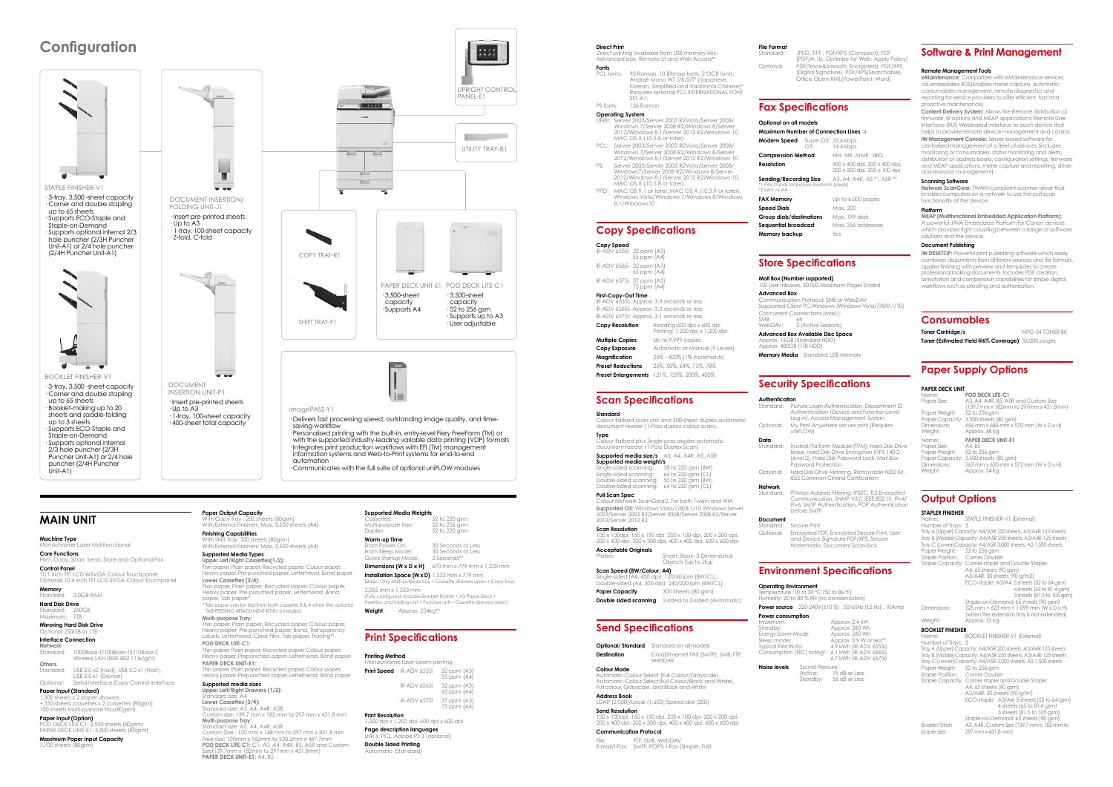edssenes:<br>Multi-purpose tray:<br>Duplex: **Warm-up Time**

 $52$  to 220 gsm<br> $52$  to 256 gsm 52 to 220 asm

From Power On: 30 Seconds or Less<br>From Sleep Mode: 30 Seconds or Less Quick Startup Mode: 3 Seconds\*<sup>2</sup>

30 Seconds or Less<br>3 Seconds \*2 **Dimensions (W x D x H)** 670 mm x 779 mm x 1,220 mm **Installation Space (W x D)** 1,533 mm x 779 mm

.<br>ssic: Only Multi-purpose tray + Cassette drawers open + Copy Tray) 2,065 mm x 1,353 mm

Direct printing available from USB memory key, Advanced box, Remote UI and Web Access'

**Fonts**<br>PCL fonts: PCL fonts: 93 Roman, 10 Bitmap fonts, 2 OCR fonts, Andalé Mono WT J/K/S/T\* (Japanese, Korean, Simplified and Traditional Chinese)\* Requires optional PCL INTERNATIONAL FONT SET-A1.

(Fully configured: Includes Booklet finisher + A3 Paper Deck + Instruments of the folding unit + Puncher unit + Cassette drawers open) **Weight** Approx. 234kg\*3

### **Print Specifications**

#### **Printing Method**

#### **Direct Print**

Windows Vista/Windows 7/Windows 8/Windows 8.1/Windows10

R-ADV 6555i: Approx. 3.3 seconds or less iR-ADV 6565i: Approx. 3.3 seconds or less

iR-ADV 6575i: Approx. 3.1 seconds or less **Copy Resolution** Reading:600 dpi x 600 dpi

#### PS fonts: 136 Roman **Operating System**

- UFRII: Server 2003/Server 2003 R2Vista/Server 2008/ Windows 7/Server 2008 R2/Windows 8/Server 2012/Windows 8.1/Server 2012 R2/Windows 10, MAC OS X (10.5.8 or later)
- PCL: Server 2003/Server 2003 R2Vista/Server 2008/ Windows 7/Server 2008 R2/Windows 8/Server 2012/Windows 8.1/Server 2012 R2/Windows 10
- PS: Server 2003/Server 2003 R2Vista/Server 2008/ Windows7/Server 2008 R2/Windows 8/Server

2012/Windows 8.1/Server 2012 R2/Windows 10,

MAC OS X (10.5.8 or later)

## **Supported media size/s** A3, A4, A4R, A5, A5R<br>**Supported media weight/s**<br>Single-sided scanning: 38 to 220 gsm (BW)<br>Single-sided scanning: 50 to 220 gsm (BW)<br>Double-sided scanning: 50 to 220 gsm (BW) Double-sided scanning: 64 to 220 gsm (CL)

PPD: MAC OS 9.1 or later, MAC OS X (10.3.9 or later),

#### **Copy Specifications**

**Copy Speed** iR-ADV 6555i 32 ppm (A3) 55 ppm (A4)

**Scan Resolution**<br>100 x 100dpi, 150 x 150 dpi, 200 x 100 dpi, 200 x 200 dpi, 200 x 400 dpi, 300 x 300 dpi, 400 x 400 dpi, 600 x 600 dpi

**Platen:** Sheet, Book, 3-Dimensional

iR-ADV 6565i 32 ppm (A3) 65 ppm (A4) iR-ADV 6575i 37 ppm (A3) 75 ppm (A4)

Single-sided (A4, 600 dpi): 120/60 ipm (BW/CL); Double-sided (A4, 300 dpi): 240/220 ipm (BW/CL) **Paper Capacity** 300 Sheets (80 asm) **Double sided scanning** 2-sided to 2-sided (Automatic)

**First-Copy-Out Time**

Printing: 1,200 dpi x 1,200 dpi **Copy Exposure** Automatic or Manual (9 Levels) **Magnification** 25% - 400% (1% Increments) **Preset Reductions** 25%, 50%, 64%, 73%, 78%

**Multiple Copies** Up to 9,999 copies **Preset Enlargements** 121%, 129%, 200%, 400%

**Print Resolution** 1,200 dpi x 1,200 dpi, 600 dpi x 600 dpi **Page description languages** II, PCL, Adobe I

## **Scan Specifications**

**Send Specifications**

Standard: JPEG, TIFF , PDF/XPS (Compact), PDF

**Optional/ Standard** Standard on all models **Destination** E-mail/Internet FAX (SMTP), SMB, FTP, WebDAV

Automatic-Colour Select(Full Colour/Black-and-White), Full colour, Grayscale, and Black-and-White .<br>/Local (1,600)/Speed dial (200)

(PDF/A-1b, Optimize for Web, Apply Policy) Optional: PDF(Trace&Smooth, Encrypted), PDF/XPS (Digital Signature), PDF/XPS(Searchable), Office Open XML(PowerPoint, Word)

**Compression Method** MH, MR, MMR, JBIG **Resolution** 400 x 400 dpi, 200 x 400 dpi 200 x 200 dpi, 200 x 100 dpi A3 A4 A4R  $A5*1$  A5R  $*2$ 

**FAX Memory** Up to 6,000 pages **Speed Dials** Max. 200 **Group dials/destinations** May 199 dials

**Sequential broadcast** Max. 256 addresses

**Standard** Colour flatbed scan unit and 300-sheet duplex automatic document feeder (1-Pass duplex colour scan).

**Type** Colour flatbed plus Single-pass duplex automatic document feeder (1-Pass Duplex Scan)

**sta**<br>Picture Login Authentication, Department ID Authentication (Device and Function Level

Standard: Trusted Platform Module (TPM), Hard Disk Drive Erase, Hard Disk Drive Encryption (FIPS 140-2 Level 2), Hard Disk Password Lock, Mail Box Password Protection

**Pull Scan Spec** Colour Network ScanGear2. For both Twain and WIA **Supported OS:** Windows Vista/7/8/8.1/10 Windows Server 2003/Server 2003 R2/Server 2008/Server 2008 R2/Server

2012/Server 2012 R2

**Power consumption** Maximum: Approx. 2.4 kW Standby: Approx. 260 Wh an.apy.<br>1ergy Saver Mode: Sleep mode: Approx. 0.9 W or less\*5 Typical Electricity: 4.9 kWh (iR-ADV 6555i) Consumption (TEC) rating<sup>2</sup>: 6.1 kWh (iR-ADV 6565i)

**Acceptable Originals**

Objects [Up to 2kg]

**Scan Speed (BW/Colour; A4)**

### **File Forma**

## **Fax Specifications**

Sending/Recording Size

#### **Optional on all models Maximum Number of Connection Lines** 4 **Modem Speed** Super G3: 33.6 kbps G3: 14.4 kbps

\*1 Pels stands for picture elements (pixels)

**Memory backup** Yes

\*2 Sent as A4

| Monochrome laser beam printing |                                 |                            |
|--------------------------------|---------------------------------|----------------------------|
|                                | <b>Print Speed</b> iR-ADV 6555i | 32 ppm (A3)<br>55 ppm (A4) |
|                                | <b>iR-ADV 6565i</b>             | 32 ppm (A3)<br>65 ppm (A4) |
|                                | <b>iR-ADV 6575i</b>             | 37 ppm (A3)<br>75 ppm (A4) |

**Double Sided Printing**

**Network** Standard: 1000Base-T/100Base-TX/10Base-T, Wireless LAN (IEEE 802.11 b/g/n) **Others**<br>Standard:

Automatic (Standard)

USB 2.0 x2 (Host), USB 3.0 x1 (Host), USB 2.0 x1 (Device) Optional: Serial Interface,Copy Control Interface **Colour Mode**

Automatic-Colour Select (Full Colour/Grayscale),

#### **MAIN UNIT** Supported Media Weights<br>
With Copy Tray : 250 sheets (80gsm) With Copy Tray in the Cassettes: Max. 3,500 sheets (A4)<br>
Multi-purpose tray: **Paper Output Capacity**

**Address Book**

**Send Resolution** 100 x 100dpi, 150 x 150 dpi, 200 x 100 dpi, 200 x 200 dpi, 200 x 400 dpi, 300 x 300 dpi, 400 x 400 dpi, 600 x 600 dpi

**Communication Protocol** FTP, SMB, WebDAV E-mail/I-Fax: SMTP, POP3, I-Fax (Simple, Full)

### **Store Specifications**

num Pages Stored

**Mail Box (Number supported)**

**Advanced Box**

Communication Protocol: SMB or WebDAV Supported Client PC:Windows (Windows Vista/7/8/8.1/10) Concurrent Connections (Max.):

SMB: 64 WebDAV: 3 (Active Sessions) **Advanced Box Available Disc Space**

Approx. 16GB (Standard HDD) Approx. 480GB (1TB HDD)

**Memory Media** Standard: USB Memory

## **Security Specifications**

#### **Authentication** Log-in), Access Management System Optional: My Print Anywhere secure print (Requires uniFLOW)

Optional: Hard Disk Drive Mirroring, Removable HDD Kit, IEEE Common Criteria Certification

**Network**

n vo, orvin<br>hafora SMTF **Document**<br>Standard Secure Print

Standard: IP/Mac Address Filtering, IPSEC, TLS Encrypted Communication, SNMP V3.0, IEEE 802.1X, IPv4/ IPv6, SMTP Authentication, POP Authentication

Optional: Encrypted PDF, Encrypted Secure Print, User

## and Device Signature PDF/XPS, Secure Watermarks, Document Scan lock

## **Environment Specifications**

**Toner Cartridge/s** NPG-54 TONER BK **Toner (Estimated Yield @6% Coverage)** 56,000 pages

**Operating Environment** Temperature: 10 to 30 ºC (50 to 86 ºF) Humidity: 20 to 80 % RH (no condensation)

**Power source** 220-240V(±10 %) , 50/60Hz (±2 Hz) , 10Amp

6.7 kWh (iR-ADV 6575i)

**Noise levels** Sound Pressure¹ Active: 75 dB or Less Standby: 58 dB or Less

## **Configuration**





STAPLE FINISHER-V1 (External) Number of Trays: 3 Tray A (Upper) Capacity: A4/A5R 250 sheets, A3/A4R 125 sheets Tray B (Middle)Capacity: A4/A5R 250 sheets, A3/A4R 125 sheets Tray C (Lower)Capacity: A4/A5R 3,000 sheets, A3 1,500 sheets hay G (Lower) Capacity. A 477 loked<br>Paper Weight: 52 to 256 gsm Staple Position: Corner, Double Staple Capacity: Corner staple and Double Staple: A4: 65 sheets (90 gsm) A3/A4R: 30 sheets (90 g/m2) ECO-staple: A3/A4: 5 sheets (52 to 64 gsm)  $4$  sheets (65 to 81.4 asm 3 sheets (81.5 to 105 gsm) Staple-on-Demand: 65 sheets (90 gsm) Dimensions: 525 mm × 623 mm × 1,099 mm (W x D x H) (when the extension tray is not extended) Weight: Approx. 35 kg **BOOKLET FINISHER** ...<br>BOOKLET FINISHER-∨1 (External) Name:<br>Number of Trays: 3 Tray A (Upper) Capacity: A4/A5R 250 sheets, A3/A4R 125 sheets Tray B (Middle)Capacity: A4/A5R 250 sheets, A3/A4R 125 sheets Tray C (Lower)Capacity: A4/A5R 3,000 sheets, A3 1,500 sheets Paper Weight: 52 to 256 gsm Staple Position: Corner, Double Staple Capacity: Corner staple and Double Staple: A4: 65 sheets (90 gsm) A3/A4R: 30 sheets (90 g/m<sup>2</sup> ) ECO-staple: A3/A4: 5 sheets (52 to 64 gsm) 4 sheets (65 to 81.4 gsm) 3 sheets (81.5 to 105 gsm) Staple-on-Demand: 65 sheets (90 gsm) Booklet Stitch A3, A4R, Custom Size (139.7 mm x 182 mm to<br>paper size: 297 mm x 431.8 mm) paper size: 297 mm x 431.8 mm)

imagePASS-Y1

· Delivers fast processing speed, outstanding image quality, and timesaving workflow

· Personalised printing with the built-in, entry-level Fiery FreeForm (TM) or with the supported industry-leading variable data printing (VDP) formats · Integrates print production workflows with EFI (TM) management information systems and Web-to-Print systems for end-to-end automation

· Communicates with the full suite of optional uniFLOW modules







Unit-A1)

l aser Multifunctional

#### **Machine Type**

**Core Functions Indians**<br>Inv. Scan, Send, Store and Optional Fax **Control Panel** 10.1 inch TFT LCD WSVGA Colour Touchpanel,

Optional 10.4 inch TFT LCD SVGA Colour Touchpanel

**Memory** Standard: 3.0GB RAM **Hard Disk Drive**

Standard: 250GB Maximum: 1TB

#### **Mirroring Hard Disk Drive** Optional 250GB or 1TB

#### **Interface Connection**

## **Paper Input (Standard)**

1,500 sheets x 2 paper drawers + 550 sheets cassettes x 2 cassettes (80gsm) 100 sheets Multi-purpose tray(80gsm)

#### **Paper Input (Option)** POD DECK LITE-C1: 3,500 sheets (80gsm) PAPFR DFCK UNIT-E1: 3,500 sheets (80gsm) **Maximum Paper Input Capacity**

7,700 sheets (80gsm)

**Finishing Capabilities** With Shift Tray: 500 sheets (80gsm) With External Finishers: Max. 3,500 sheets (A4)

**Supported Media Types Upper Left/Right Cassettes(1/2):** Thin paper, Plain paper, Recycled paper, Colour paper, Heavy paper, Pre-punched paper, Letterhead, Bond paper **Lower Cassettes (3/4):**

- Thin paper, Plain paper, Recycled paper, Colour paper, Heavy paper, Pre-punched paper, Letterhead, Bond paper, Tab paper\*. \* Tab paper can be fed from both cassette 3 & 4 when the optional
- TAB FEEDING ATTACHMENT KIT-B1 is installed. **Multi-purpose Tray:** Thin paper, Plain paper, Recycled paper, Colour paper,
- Heavy paper, Pre-punched paper, Bond, Transparency,<br>Labels, Letterhead, Clear Film, Tab paper, Tracing\*1 **POD DECK LITE-C1:**
- Thin paper, Plain paper, Recycled paper, Colour paper, Heavy paper, Prepunched paper, Letterhead, Bond paper
- **PAPER DECK UNIT-E1:** Thin paper, Plain paper, Recycled paper, Colour paper, Heavy paper, Prepunched paper, Letterhead, Bond paper

## **Supported media sizes Upper Left/Right Drawers (1/2):**

Standard size: A4 **Lower Cassettes (3/4):**<br>Standard size: A3, A4, A4R, A5R<br>Custom size: 139.7 mm x 182 mm to 297 mm x 431.8 mm **Multi-purpose Tray:** Standard size: A3, A4, A4R, A5R Custom Size : 100 mm x 148 mm to 297 mm x 431.8 mm Free size: 100mm x 182mm to 330.2mm x 487.7mm **POD DECK LITE-C1:** C1: A3, A4, A4R, B5, A5R and Custom Size(139.7mm x 182mm to 297mm x 431.8mm) **PAPER DECK UNIT-F1: A4, B5** 

### **Software & Print Management**

#### **Remote Management Tools**

**eMaintenance:** Compatible with eMaintenance services via embedded RDS(Enables meter capture, automatic consumables management, remote diagnostics and reporting for service providers to offer efficient, fast and proactive maintenance)

**Content Delivery System:** Allows the Remote distribution of firmware, iR options and MEAP applications; Remote User Interface (RUI) Webbased interface to each device that helps to provide remote device management and control. **iW Management Console:** Server-based software for centralised management of a fleet of devices (includes monitoring or consumables, status monitoring and alerts, distribution of address books, configuration settings, firmware and MEAP applications, meter capture and reporting, driver and resource management)

#### **Scanning Software**

**Network ScanGear:** TWAIN-compliant scanner driver that enables computers on a network to use the pull scan functionality of the device.

**Platform MEAP (Multifunctional Embedded Application Platform):**

A powerful JAVA Embedded Platform for Canon devices which provides tight coupling between a range of software solutions and the device.

#### **Document Publishing**

**iW DESKTOP:** Powerful print publishing software which easily combines documents from different sources and file formats, applies finishing with preview and templates to create professional looking documents. Includes PDF creation, annotation and compression capabilities for simple digital workflows such as proofing and authorization.

### **Consumables**

## **Paper Supply Options**

#### **PAPER DECK UNIT**

Name: **POD DECK LITE-C1**<br>Paper Size: **A3, A4, A4R, B5, A5** Paper Size: A3, A4, A4R, B5, A5R and Custom Size (139.7mm x 182mm to 297mm x 431.8mm) Paper Weight: 52 to 256 gsm Paper Capacity: 3,500 sheets (80 gsm) Dimensions: 656 mm x 686 mm x 570 mm (W x D x H) Weight: Approx. 68 kg Name: **PAPER DECK UNIT-E1** Paper Size: A4, B5<br>Paper Size: A4, B5<br>Paper Weight: 52 to 256 asm Paper Weight: 52 to 256 gsm Paper Capacity: 3,500 sheets (80 gsm) Dimensions: 363 mm x 630 mm x 572 mm (W x D x H) Weight: Approx. 34 kg

### **Output Options**

#### **STAPLER FINISHER**